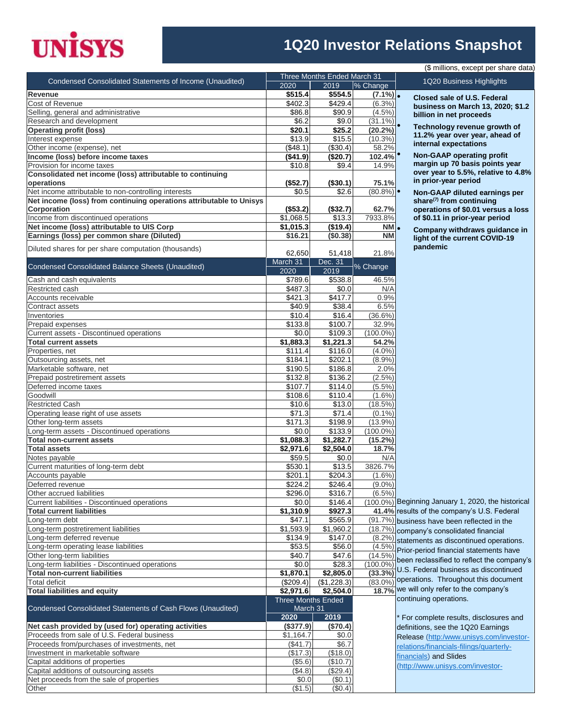## **UNISYS**

## **1Q20 Investor Relations Snapshot**

| (\$ millions, except per share data)                                                    |                           |                             |                        |                                                                   |  |  |  |
|-----------------------------------------------------------------------------------------|---------------------------|-----------------------------|------------------------|-------------------------------------------------------------------|--|--|--|
| Condensed Consolidated Statements of Income (Unaudited)                                 |                           | Three Months Ended March 31 |                        | 1Q20 Business Highlights                                          |  |  |  |
|                                                                                         | 2020                      | 2019                        | % Change               |                                                                   |  |  |  |
| Revenue                                                                                 | \$515.4                   | \$554.5                     | $(7.1\%)$ .            | Closed sale of U.S. Federal                                       |  |  |  |
| Cost of Revenue<br>Selling, general and administrative                                  | \$402.3<br>\$86.8         | \$429.4<br>\$90.9           | $(6.3\%)$<br>$(4.5\%)$ | business on March 13, 2020; \$1.2                                 |  |  |  |
| Research and development                                                                | \$6.2                     | \$9.0                       | $(31.1\%)$             | billion in net proceeds                                           |  |  |  |
| <b>Operating profit (loss)</b>                                                          | \$20.1                    | \$25.2                      | (20.2%)                | Technology revenue growth of                                      |  |  |  |
| Interest expense                                                                        | \$13.9                    | \$15.5                      | $(10.3\%)$             | 11.2% year over year, ahead of                                    |  |  |  |
| Other income (expense), net                                                             | (\$48.1)                  | (\$30.4)                    | 58.2%                  | internal expectations                                             |  |  |  |
| Income (loss) before income taxes                                                       | (\$41.9)                  | (\$20.7)                    | 102.4%                 | <b>Non-GAAP operating profit</b>                                  |  |  |  |
| Provision for income taxes                                                              | \$10.8                    | \$9.4                       | 14.9%                  | margin up 70 basis points year                                    |  |  |  |
| Consolidated net income (loss) attributable to continuing                               |                           |                             |                        | over year to 5.5%, relative to 4.8%                               |  |  |  |
| operations                                                                              | (\$52.7)                  | (\$30.1)                    | 75.1%                  | in prior-year period                                              |  |  |  |
| Net income attributable to non-controlling interests                                    | \$0.5                     | \$2.6                       | $(80.8\%)$ $\bullet$   | Non-GAAP diluted earnings per                                     |  |  |  |
| Net income (loss) from continuing operations attributable to Unisys<br>Corporation      | (\$53.2)                  | (\$32.7)                    | 62.7%                  | share $(7)$ from continuing<br>operations of \$0.01 versus a loss |  |  |  |
| Income from discontinued operations                                                     | \$1,068.5                 | \$13.3                      | 7933.8%                | of \$0.11 in prior-year period                                    |  |  |  |
| Net income (loss) attributable to UIS Corp                                              | \$1,015.3                 | (\$19.4)                    | NM.                    |                                                                   |  |  |  |
| Earnings (loss) per common share (Diluted)                                              | \$16.21                   | (\$0.38)                    | <b>NM</b>              | Company withdraws guidance in                                     |  |  |  |
|                                                                                         |                           |                             |                        | light of the current COVID-19<br>pandemic                         |  |  |  |
| Diluted shares for per share computation (thousands)                                    | 62,650                    | 51,418                      | 21.8%                  |                                                                   |  |  |  |
| Condensed Consolidated Balance Sheets (Unaudited)                                       | March 31                  | Dec. 31                     | % Change               |                                                                   |  |  |  |
|                                                                                         | 2020                      | 2019                        |                        |                                                                   |  |  |  |
| Cash and cash equivalents                                                               | \$789.6                   | \$538.8                     | 46.5%                  |                                                                   |  |  |  |
| Restricted cash                                                                         | \$487.3                   | \$0.0                       | N/A                    |                                                                   |  |  |  |
| Accounts receivable                                                                     | \$421.3                   | \$417.7                     | 0.9%                   |                                                                   |  |  |  |
| Contract assets                                                                         | \$40.9                    | \$38.4                      | 6.5%                   |                                                                   |  |  |  |
| Inventories                                                                             | \$10.4                    | \$16.4<br>\$100.7           | $(36.6\%)$<br>32.9%    |                                                                   |  |  |  |
| Prepaid expenses<br>Current assets - Discontinued operations                            | \$133.8<br>\$0.0          | \$109.3                     | $(100.0\%)$            |                                                                   |  |  |  |
| <b>Total current assets</b>                                                             | \$1,883.3                 | \$1,221.3                   | 54.2%                  |                                                                   |  |  |  |
| Properties, net                                                                         | \$111.4                   | \$116.0                     | $(4.0\%)$              |                                                                   |  |  |  |
| Outsourcing assets, net                                                                 | \$184.1                   | \$202.1                     | $(8.9\%)$              |                                                                   |  |  |  |
| Marketable software, net                                                                | \$190.5                   | \$186.8                     | 2.0%                   |                                                                   |  |  |  |
| Prepaid postretirement assets                                                           | \$132.8                   | \$136.2                     | $(2.5\%)$              |                                                                   |  |  |  |
| Deferred income taxes                                                                   | \$107.7                   | \$114.0                     | $(5.5\%)$              |                                                                   |  |  |  |
| Goodwill                                                                                | \$108.6                   | \$110.4                     | $(1.6\%)$              |                                                                   |  |  |  |
| <b>Restricted Cash</b>                                                                  | \$10.6                    | \$13.0                      | $(18.5\%)$             |                                                                   |  |  |  |
| Operating lease right of use assets                                                     | \$71.3                    | \$71.4                      | $(0.1\%)$              |                                                                   |  |  |  |
| Other long-term assets                                                                  | \$171.3                   | \$198.9                     | $(13.9\%)$             |                                                                   |  |  |  |
| Long-term assets - Discontinued operations                                              | \$0.0                     | \$133.9                     | $(100.0\%)$            |                                                                   |  |  |  |
| <b>Total non-current assets</b><br><b>Total assets</b>                                  | \$1,088.3                 | \$1,282.7                   | (15.2%)<br>18.7%       |                                                                   |  |  |  |
| Notes payable                                                                           | \$2,971.6<br>\$59.5       | \$2,504.0<br>\$0.0          | N/A                    |                                                                   |  |  |  |
| Current maturities of long-term debt                                                    | \$530.1                   | \$13.5                      | 3826.7%                |                                                                   |  |  |  |
| Accounts payable                                                                        | \$201.1                   | \$204.31                    | $(1.6\%)$              |                                                                   |  |  |  |
| Deferred revenue                                                                        | $\sqrt{$224.2}$           | $\overline{$}246.4$         | $(9.0\%)$              |                                                                   |  |  |  |
| Other accrued liabilities                                                               | \$296.0                   | \$316.7                     | $(6.5\%)$              |                                                                   |  |  |  |
| Current liabilities - Discontinued operations                                           | \$0.0                     | \$146.4                     |                        | (100.0%) Beginning January 1, 2020, the historical                |  |  |  |
| <b>Total current liabilities</b>                                                        | \$1,310.9                 | \$927.3                     |                        | 41.4% results of the company's U.S. Federal                       |  |  |  |
| Long-term debt                                                                          | \$47.1                    | \$565.9                     |                        | (91.7%) business have been reflected in the                       |  |  |  |
| Long-term postretirement liabilities                                                    | \$1,593.9                 | \$1,960.2                   |                        | (18.7%) company's consolidated financial                          |  |  |  |
| Long-term deferred revenue                                                              | \$134.9                   | \$147.0                     |                        | $(8.2%)$ statements as discontinued operations.                   |  |  |  |
| Long-term operating lease liabilities                                                   | \$53.5                    | \$56.0                      |                        | (4.5%) Prior-period financial statements have                     |  |  |  |
| Other long-term liabilities                                                             | \$40.7                    | \$47.6                      | $(14.5\%)$             | been reclassified to reflect the company's                        |  |  |  |
| Long-term liabilities - Discontinued operations<br><b>Total non-current liabilities</b> | \$0.0<br>\$1,870.1        | \$28.3<br>\$2,805.0         | $(100.0\%)$<br>(33.3%) | U.S. Federal business as discontinued                             |  |  |  |
| <b>Total deficit</b>                                                                    | (\$209.4)                 | (\$1,228.3)                 |                        | (83.0%) operations. Throughout this document                      |  |  |  |
| <b>Total liabilities and equity</b>                                                     | \$2,971.6                 | \$2,504.0                   |                        | 18.7% we will only refer to the company's                         |  |  |  |
|                                                                                         | <b>Three Months Ended</b> |                             |                        | continuing operations.                                            |  |  |  |
| Condensed Consolidated Statements of Cash Flows (Unaudited)                             | March 31                  |                             |                        |                                                                   |  |  |  |
|                                                                                         | 2020                      | 2019                        |                        | For complete results, disclosures and                             |  |  |  |
| Net cash provided by (used for) operating activities                                    | (\$377.9)                 | (\$70.4)                    |                        | definitions, see the 1Q20 Earnings                                |  |  |  |
| Proceeds from sale of U.S. Federal business                                             | \$1,164.7                 | \$0.0                       |                        | Release (http:/www.unisys.com/investor-                           |  |  |  |
| Proceeds from/purchases of investments, net                                             | (\$41.7)                  | \$6.7                       |                        | relations/financials-filings/quarterly-                           |  |  |  |
| Investment in marketable software                                                       | (\$17.3)                  | (\$18.0)                    |                        | financials) and Slides                                            |  |  |  |
| Capital additions of properties                                                         | (\$5.6)                   | (\$10.7)                    |                        | (http://www.unisys.com/investor-                                  |  |  |  |
| Capital additions of outsourcing assets                                                 | (\$4.8)                   | (\$29.4)                    |                        |                                                                   |  |  |  |
| Net proceeds from the sale of properties<br>Other                                       | \$0.0<br>(\$1.5)          | (\$0.1)<br>(\$0.4)          |                        |                                                                   |  |  |  |
|                                                                                         |                           |                             |                        |                                                                   |  |  |  |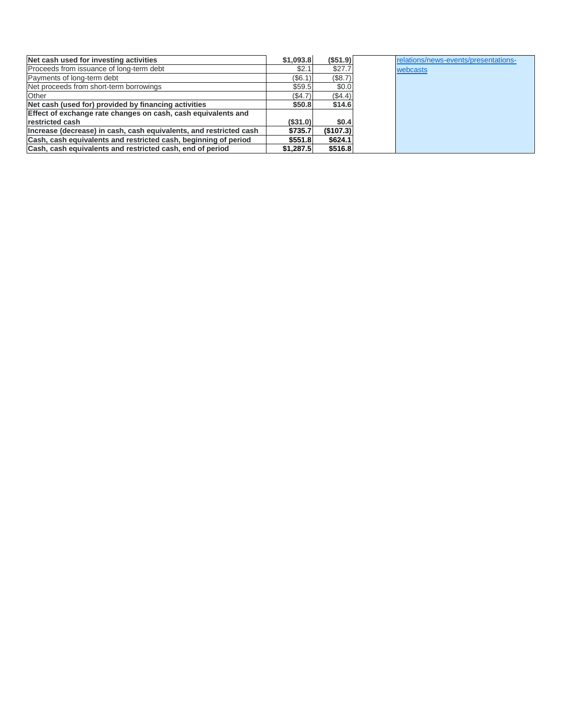| Net cash used for investing activities                             | \$1,093.8 | (\$51.9)  | relations/news-events/presentations- |
|--------------------------------------------------------------------|-----------|-----------|--------------------------------------|
| Proceeds from issuance of long-term debt                           | \$2.1     | \$27.7    | webcasts                             |
| Payments of long-term debt                                         | (\$6.1)   | (\$8.7)   |                                      |
| Net proceeds from short-term borrowings                            | \$59.5    | \$0.0     |                                      |
| Other                                                              | (S4.7)    | (\$4.4)   |                                      |
| Net cash (used for) provided by financing activities               | \$50.8    | \$14.6    |                                      |
| Effect of exchange rate changes on cash, cash equivalents and      |           |           |                                      |
| restricted cash                                                    | (S31.0)   | \$0.4     |                                      |
| Increase (decrease) in cash, cash equivalents, and restricted cash | \$735.7   | (\$107.3) |                                      |
| Cash, cash equivalents and restricted cash, beginning of period    | \$551.8   | \$624.1   |                                      |
| Cash, cash equivalents and restricted cash, end of period          | \$1,287.5 | \$516.8   |                                      |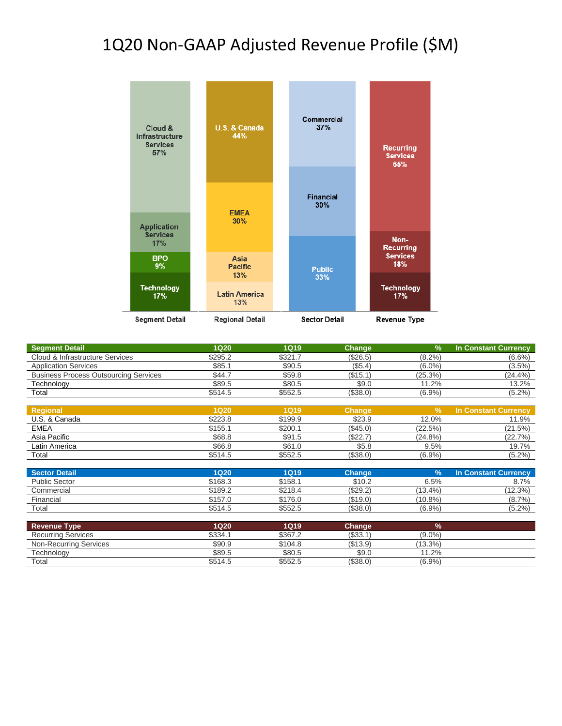## 1Q20 Non-GAAP Adjusted Revenue Profile (\$M)



| Segment Detail                               | 1Q20    | 1Q19    | <b>Change</b> | $\%$       | In Constant Currency |
|----------------------------------------------|---------|---------|---------------|------------|----------------------|
| Cloud & Infrastructure Services              | \$295.2 | \$321.7 | $(\$26.5)$    | $(8.2\%)$  | $(6.6\%)$            |
| <b>Application Services</b>                  | \$85.1  | \$90.5  | (\$5.4)       | $(6.0\%)$  | $(3.5\%)$            |
| <b>Business Process Outsourcing Services</b> | \$44.7  | \$59.8  | (\$15.1)      | $(25.3\%)$ | $(24.4\%)$           |
| Technology                                   | \$89.5  | \$80.5  | \$9.0         | 11.2%      | 13.2%                |
| Total                                        | \$514.5 | \$552.5 | (\$38.0)      | $(6.9\%)$  | (5.2%)               |
|                                              |         |         |               |            |                      |

| Regional      | 1Q20    | <b>1Q19</b> | <b>Change</b> |            | In Constant Currency |
|---------------|---------|-------------|---------------|------------|----------------------|
| U.S. & Canada | \$223.8 | \$199.9     | \$23.9        | 12.0%      | 11.9%                |
| <b>EMEA</b>   | \$155.1 | \$200.′     | $(\$45.0)$    | (22.5%)    | (21.5%)              |
| Asia Pacific  | \$68.8  | \$91.5      | \$22.7        | $(24.8\%)$ | (22.7%)              |
| Latin America | \$66.8  | \$61.0      | \$5.8         | 9.5%       | 19.7%                |
| Total         | \$514.5 | \$552.5     | (\$38.0)      | (6.9%      | $(5.2\%)$            |

| <b>Sector Detail</b> | 1Q20    | 1Q19    | Change   |            | <b>In Constant Currency</b> |
|----------------------|---------|---------|----------|------------|-----------------------------|
| <b>Public Sector</b> | \$168.3 | \$158.1 | \$10.2   | 6.5%       | 8.7%                        |
| Commercial           | \$189.2 | \$218.4 | (\$29.2) | $(13.4\%)$ | $(12.3\%)$                  |
| Financial            | \$157.0 | \$176.0 | (\$19.0) | $(10.8\%)$ | (8.7%                       |
| Total                | \$514.5 | \$552.5 | (\$38.0) | (6.9%      | (5.2%                       |

| <b>Revenue Type</b>       | 1Q20    | <b>1Q19</b> | Change   | 70         |  |
|---------------------------|---------|-------------|----------|------------|--|
| <b>Recurring Services</b> | \$334.1 | \$367.2     | (\$33.1  | $(9.0\%)$  |  |
| Non-Recurring Services    | \$90.9  | \$104.8     | (\$13.9) | $(13.3\%)$ |  |
| Technology                | \$89.5  | \$80.5      | \$9.0    | .2%<br>11  |  |
| Total                     | \$514.5 | \$552.5     | (S38.0)  | (6.9%      |  |